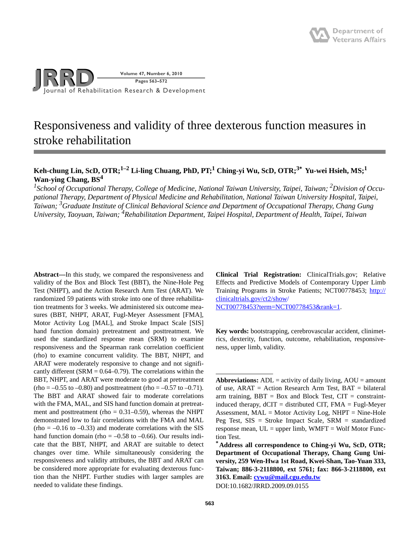

# Responsiveness and validity of three dexterous function measures in stroke rehabilitation

## **Keh-chung Lin, ScD, OTR;1–2 Li-ling Chuang, PhD, PT;1 Ching-yi Wu, ScD, OTR;3\* Yu-wei Hsieh, MS;1 Wan-ying Chang, BS4**

*1School of Occupational Therapy, College of Medicine, National Taiwan University, Taipei, Taiwan; 2 Division of Occupational Therapy, Department of Physical Medicine and Rehabilitation, National Taiwan University Hospital, Taipei, Taiwan; 3Graduate Institute of Clinical Behavioral Science and Department of Occupational Therapy, Chang Gung University, Taoyuan, Taiwan; 4 Rehabilitation Department, Taipei Hospital, Department of Health, Taipei, Taiwan*

**Abstract—**In this study, we compared the responsiveness and validity of the Box and Block Test (BBT), the Nine-Hole Peg Test (NHPT), and the Action Research Arm Test (ARAT). We randomized 59 patients with stroke into one of three rehabilitation treatments for 3 weeks. We administered six outcome measures (BBT, NHPT, ARAT, Fugl-Meyer Assessment [FMA], Motor Activity Log [MAL], and Stroke Impact Scale [SIS] hand function domain) pretreatment and posttreatment. We used the standardized response mean (SRM) to examine responsiveness and the Spearman rank correlation coefficient (rho) to examine concurrent validity. The BBT, NHPT, and ARAT were moderately responsive to change and not significantly different ( $SRM = 0.64{\text -}0.79$ ). The correlations within the BBT, NHPT, and ARAT were moderate to good at pretreatment  $rho = -0.55$  to  $-0.80$  and posttreatment (rho =  $-0.57$  to  $-0.71$ ). The BBT and ARAT showed fair to moderate correlations with the FMA, MAL, and SIS hand function domain at pretreatment and posttreatment (rho  $= 0.31 - 0.59$ ), whereas the NHPT demonstrated low to fair correlations with the FMA and MAL  $rho = -0.16$  to  $-0.33$ ) and moderate correlations with the SIS hand function domain (rho  $= -0.58$  to  $-0.66$ ). Our results indicate that the BBT, NHPT, and ARAT are suitable to detect changes over time. While simultaneously considering the responsiveness and validity attributes, the BBT and ARAT can be considered more appropriate for evaluating dexterous function than the NHPT. Further studies with larger samples are needed to validate these findings.

**Clinical Trial Registration:** ClinicalTrials.gov; Relative Effects and Predictive Models of Contemporary Upper Limb Training Programs in Stroke Patients; NCT00778453; http:// clinicaltrials.gov/ct2/show/

NCT00778453?term=NCT00778453&rank=1.

**Key words:** bootstrapping, cerebrovascular accident, clinimetrics, dexterity, function, outcome, rehabilitation, responsiveness, upper limb, validity.

DOI:10.1682/JRRD.2009.09.0155

**Abbreviations:** ADL = activity of daily living, AOU = amount of use, ARAT = Action Research Arm Test, BAT = bilateral arm training,  $BBT = Box$  and Block Test,  $CIT = constraint$ induced therapy,  $dCIT =$  distributed CIT,  $FMA =$  Fugl-Meyer Assessment,  $MAL = Motor$  Activity Log,  $NHPT = Nine+ Hole$ Peg Test, SIS = Stroke Impact Scale, SRM = standardized response mean,  $UL =$  upper limb,  $WMFT =$  Wolf Motor Function Test.

**<sup>\*</sup>Address all correspondence to Ching-yi Wu, ScD, OTR; Department of Occupational Therapy, Chang Gung University, 259 Wen-Hwa 1st Road, Kwei-Shan, Tao-Yuan 333, Taiwan; 886-3-2118800, ext 5761; fax: 866-3-2118800, ext 3163. Email: [cywu@mail.cgu.edu.tw](mailto:cywu@mail.cgu.edu.tw)**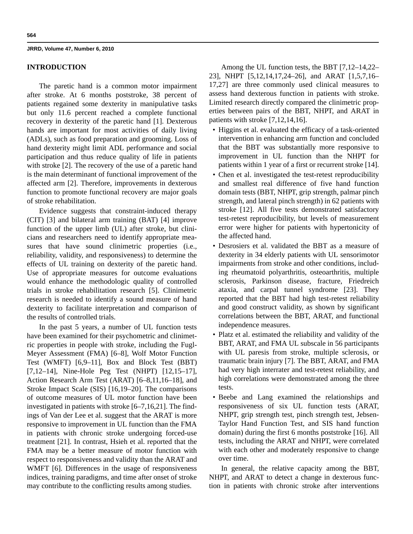## **INTRODUCTION**

The paretic hand is a common motor impairment after stroke. At 6 months poststroke, 38 percent of patients regained some dexterity in manipulative tasks but only 11.6 percent reached a complete functional recovery in dexterity of the paretic hand [1]. Dexterous hands are important for most activities of daily living (ADLs), such as food preparation and grooming. Loss of hand dexterity might limit ADL performance and social participation and thus reduce quality of life in patients with stroke [2]. The recovery of the use of a paretic hand is the main determinant of functional improvement of the affected arm [2]. Therefore, improvements in dexterous function to promote functional recovery are major goals of stroke rehabilitation.

Evidence suggests that constraint-induced therapy (CIT) [3] and bilateral arm training (BAT) [4] improve function of the upper limb (UL) after stroke, but clinicians and researchers need to identify appropriate measures that have sound clinimetric properties (i.e., reliability, validity, and responsiveness) to determine the effects of UL training on dexterity of the paretic hand. Use of appropriate measures for outcome evaluations would enhance the methodologic quality of controlled trials in stroke rehabilitation research [5]. Clinimetric research is needed to identify a sound measure of hand dexterity to facilitate interpretation and comparison of the results of controlled trials.

In the past 5 years, a number of UL function tests have been examined for their psychometric and clinimetric properties in people with stroke, including the Fugl-Meyer Assessment (FMA) [6–8], Wolf Motor Function Test (WMFT) [6,9–11], Box and Block Test (BBT) [7,12–14], Nine-Hole Peg Test (NHPT) [12,15–17], Action Research Arm Test (ARAT) [6–8,11,16–18], and Stroke Impact Scale (SIS) [16,19–20]. The comparisons of outcome measures of UL motor function have been investigated in patients with stroke [6–7,16,21]. The findings of Van der Lee et al. suggest that the ARAT is more responsive to improvement in UL function than the FMA in patients with chronic stroke undergoing forced-use treatment [21]. In contrast, Hsieh et al. reported that the FMA may be a better measure of motor function with respect to responsiveness and validity than the ARAT and WMFT [6]. Differences in the usage of responsiveness indices, training paradigms, and time after onset of stroke may contribute to the conflicting results among studies.

Among the UL function tests, the BBT [7,12–14,22– 23], NHPT [5,12,14,17,24–26], and ARAT [1,5,7,16– 17,27] are three commonly used clinical measures to assess hand dexterous function in patients with stroke. Limited research directly compared the clinimetric properties between pairs of the BBT, NHPT, and ARAT in patients with stroke [7,12,14,16].

- Higgins et al. evaluated the efficacy of a task-oriented intervention in enhancing arm function and concluded that the BBT was substantially more responsive to improvement in UL function than the NHPT for patients within 1 year of a first or recurrent stroke [14].
- Chen et al. investigated the test-retest reproducibility and smallest real difference of five hand function domain tests (BBT, NHPT, grip strength, palmar pinch strength, and lateral pinch strength) in 62 patients with stroke [12]. All five tests demonstrated satisfactory test-retest reproducibility, but levels of measurement error were higher for patients with hypertonicity of the affected hand.
- Desrosiers et al. validated the BBT as a measure of dexterity in 34 elderly patients with UL sensorimotor impairments from stroke and other conditions, including rheumatoid polyarthritis, osteoarthritis, multiple sclerosis, Parkinson disease, fracture, Friedreich ataxia, and carpal tunnel syndrome [23]. They reported that the BBT had high test-retest reliability and good construct validity, as shown by significant correlations between the BBT, ARAT, and functional independence measures.
- Platz et al. estimated the reliability and validity of the BBT, ARAT, and FMA UL subscale in 56 participants with UL paresis from stroke, multiple sclerosis, or traumatic brain injury [7]. The BBT, ARAT, and FMA had very high interrater and test-retest reliability, and high correlations were demonstrated among the three tests.
- Beebe and Lang examined the relationships and responsiveness of six UL function tests (ARAT, NHPT, grip strength test, pinch strength test, Jebsen-Taylor Hand Function Test, and SIS hand function domain) during the first 6 months poststroke [16]. All tests, including the ARAT and NHPT, were correlated with each other and moderately responsive to change over time.

In general, the relative capacity among the BBT, NHPT, and ARAT to detect a change in dexterous function in patients with chronic stroke after interventions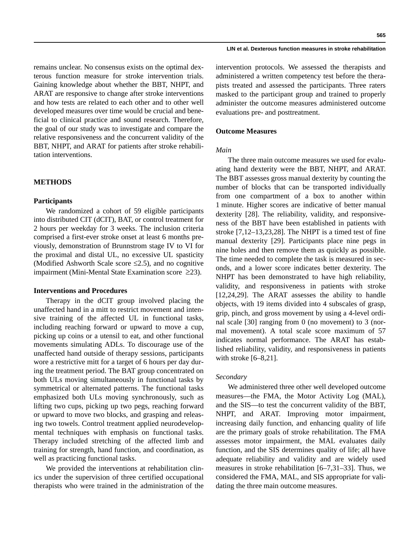remains unclear. No consensus exists on the optimal dexterous function measure for stroke intervention trials. Gaining knowledge about whether the BBT, NHPT, and ARAT are responsive to change after stroke interventions and how tests are related to each other and to other well developed measures over time would be crucial and beneficial to clinical practice and sound research. Therefore, the goal of our study was to investigate and compare the relative responsiveness and the concurrent validity of the BBT, NHPT, and ARAT for patients after stroke rehabilitation interventions.

## **METHODS**

#### **Participants**

We randomized a cohort of 59 eligible participants into distributed CIT (dCIT), BAT, or control treatment for 2 hours per weekday for 3 weeks. The inclusion criteria comprised a first-ever stroke onset at least 6 months previously, demonstration of Brunnstrom stage IV to VI for the proximal and distal UL, no excessive UL spasticity (Modified Ashworth Scale score  $\leq$ 2.5), and no cognitive impairment (Mini-Mental State Examination score  $\geq$ 23).

### **Interventions and Procedures**

Therapy in the dCIT group involved placing the unaffected hand in a mitt to restrict movement and intensive training of the affected UL in functional tasks, including reaching forward or upward to move a cup, picking up coins or a utensil to eat, and other functional movements simulating ADLs. To discourage use of the unaffected hand outside of therapy sessions, participants wore a restrictive mitt for a target of 6 hours per day during the treatment period. The BAT group concentrated on both ULs moving simultaneously in functional tasks by symmetrical or alternated patterns. The functional tasks emphasized both ULs moving synchronously, such as lifting two cups, picking up two pegs, reaching forward or upward to move two blocks, and grasping and releasing two towels. Control treatment applied neurodevelopmental techniques with emphasis on functional tasks. Therapy included stretching of the affected limb and training for strength, hand function, and coordination, as well as practicing functional tasks.

We provided the interventions at rehabilitation clinics under the supervision of three certified occupational therapists who were trained in the administration of the intervention protocols. We assessed the therapists and administered a written competency test before the therapists treated and assessed the participants. Three raters masked to the participant group and trained to properly administer the outcome measures administered outcome evaluations pre- and posttreatment.

### **Outcome Measures**

## *Main*

The three main outcome measures we used for evaluating hand dexterity were the BBT, NHPT, and ARAT. The BBT assesses gross manual dexterity by counting the number of blocks that can be transported individually from one compartment of a box to another within 1 minute. Higher scores are indicative of better manual dexterity [28]. The reliability, validity, and responsiveness of the BBT have been established in patients with stroke [7,12–13,23,28]. The NHPT is a timed test of fine manual dexterity [29]. Participants place nine pegs in nine holes and then remove them as quickly as possible. The time needed to complete the task is measured in seconds, and a lower score indicates better dexterity. The NHPT has been demonstrated to have high reliability, validity, and responsiveness in patients with stroke [12,24,29]. The ARAT assesses the ability to handle objects, with 19 items divided into 4 subscales of grasp, grip, pinch, and gross movement by using a 4-level ordinal scale [30] ranging from 0 (no movement) to 3 (normal movement). A total scale score maximum of 57 indicates normal performance. The ARAT has established reliability, validity, and responsiveness in patients with stroke [6–8,21].

## *Secondary*

We administered three other well developed outcome measures—the FMA, the Motor Activity Log (MAL), and the SIS—to test the concurrent validity of the BBT, NHPT, and ARAT. Improving motor impairment, increasing daily function, and enhancing quality of life are the primary goals of stroke rehabilitation. The FMA assesses motor impairment, the MAL evaluates daily function, and the SIS determines quality of life; all have adequate reliability and validity and are widely used measures in stroke rehabilitation [6–7,31–33]. Thus, we considered the FMA, MAL, and SIS appropriate for validating the three main outcome measures.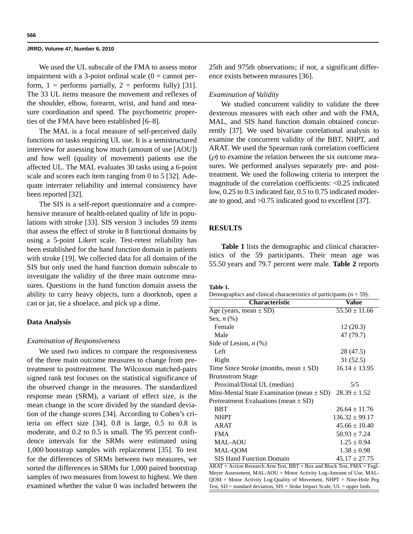We used the UL subscale of the FMA to assess motor impairment with a 3-point ordinal scale  $(0 =$  cannot perform,  $1 =$  performs partially,  $2 =$  performs fully) [31]. The 33 UL items measure the movement and reflexes of the shoulder, elbow, forearm, wrist, and hand and measure coordination and speed. The psychometric properties of the FMA have been established [6–8].

The MAL is a focal measure of self-perceived daily functions on tasks requiring UL use. It is a semistructured interview for assessing how much (amount of use [AOU]) and how well (quality of movement) patients use the affected UL. The MAL evaluates 30 tasks using a 6-point scale and scores each item ranging from 0 to 5 [32]. Adequate interrater reliability and internal consistency have been reported [32].

The SIS is a self-report questionnaire and a comprehensive measure of health-related quality of life in populations with stroke [33]. SIS version 3 includes 59 items that assess the effect of stroke in 8 functional domains by using a 5-point Likert scale. Test-retest reliability has been established for the hand function domain in patients with stroke [19]. We collected data for all domains of the SIS but only used the hand function domain subscale to investigate the validity of the three main outcome measures. Questions in the hand function domain assess the ability to carry heavy objects, turn a doorknob, open a can or jar, tie a shoelace, and pick up a dime.

### **Data Analysis**

#### *Examination of Responsiveness*

We used two indices to compare the responsiveness of the three main outcome measures to change from pretreatment to posttreatment. The Wilcoxon matched-pairs signed rank test focuses on the statistical significance of the observed change in the measures. The standardized response mean (SRM), a variant of effect size, is the mean change in the score divided by the standard deviation of the change scores [34]. According to Cohen's criteria on effect size [34], 0.8 is large, 0.5 to 0.8 is moderate, and 0.2 to 0.5 is small. The 95 percent confidence intervals for the SRMs were estimated using 1,000 bootstrap samples with replacement [35]. To test for the differences of SRMs between two measures, we sorted the differences in SRMs for 1,000 paired bootstrap samples of two measures from lowest to highest. We then examined whether the value 0 was included between the

25th and 975th observations; if not, a significant difference exists between measures [36].

#### *Examination of Validity*

We studied concurrent validity to validate the three dexterous measures with each other and with the FMA, MAL, and SIS hand function domain obtained concurrently [37]. We used bivariate correlational analysis to examine the concurrent validity of the BBT, NHPT, and ARAT. We used the Spearman rank correlation coefficient  $(\rho)$  to examine the relation between the six outcome measures. We performed analyses separately pre- and posttreatment. We used the following criteria to interpret the magnitude of the correlation coefficients: <0.25 indicated low, 0.25 to 0.5 indicated fair, 0.5 to 0.75 indicated moderate to good, and >0.75 indicated good to excellent [37].

## **RESULTS**

**Table 1** lists the demographic and clinical characteristics of the 59 participants. Their mean age was 55.50 years and 79.7 percent were male. **Table 2** reports

#### **Table 1.**

Demographics and clinical characteristics of participants (*n* = 59).

| Characteristic                                | Value              |  |
|-----------------------------------------------|--------------------|--|
| Age (years, mean $\pm$ SD)                    | $55.50 \pm 11.66$  |  |
| Sex, $n$ $(\%)$                               |                    |  |
| Female                                        | 12(20.3)           |  |
| Male                                          | 47 (79.7)          |  |
| Side of Lesion, $n$ $(\%)$                    |                    |  |
| Left                                          | 28 (47.5)          |  |
| Right                                         | 31 (52.5)          |  |
| Time Since Stroke (months, mean $\pm$ SD)     | $16.14 \pm 13.95$  |  |
| <b>Brunnstrom Stage</b>                       |                    |  |
| Proximal/Distal UL (median)                   | 5/5                |  |
| Mini-Mental State Examination (mean $\pm$ SD) | $28.39 \pm 1.52$   |  |
| Pretreatment Evaluations (mean $\pm$ SD)      |                    |  |
| <b>BBT</b>                                    | $26.64 \pm 11.76$  |  |
| <b>NHPT</b>                                   | $136.32 \pm 99.17$ |  |
| ARAT                                          | $45.66 \pm 10.40$  |  |
| <b>FMA</b>                                    | $50.93 \pm 7.24$   |  |
| <b>MAL-AOU</b>                                | $1.25 \pm 0.94$    |  |
| MAL-QOM                                       | $1.38 \pm 0.98$    |  |
| <b>SIS Hand Function Domain</b>               | $45.17 \pm 27.75$  |  |

 $ARAT = Action Research Arm Test, BBT = Box and Block Test, FMA = Fugl-$ Meyer Assessment, MAL-AOU = Motor Activity Log-Amount of Use, MAL-QOM = Motor Activity Log-Quality of Movement, NHPT = Nine-Hole Peg Test, SD = standard deviation, SIS = Stoke Impact Scale, UL = upper limb.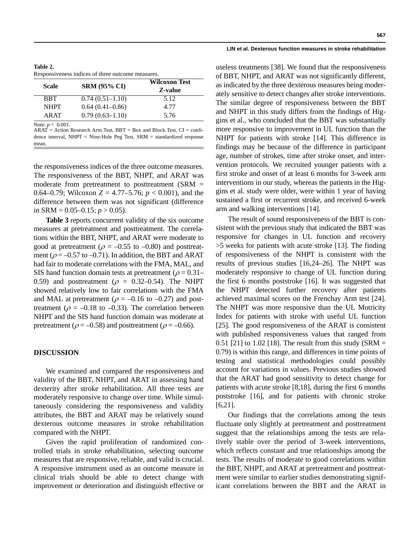|          | $C \cup C \cup C$ $A \cup C$                      | Wilcoxo |
|----------|---------------------------------------------------|---------|
|          | Responsiveness indices of three outcome measures. |         |
| Table 2. |                                                   |         |

| <b>Scale</b> | <b>SRM (95% CI)</b> | <b>Wilcoxon Test</b><br>Z-value |
|--------------|---------------------|---------------------------------|
| <b>BBT</b>   | $0.74(0.51-1.10)$   | 5.12                            |
| <b>NHPT</b>  | $0.64(0.41-0.86)$   | 4.77                            |
| AR AT        | $0.79(0.63 - 1.10)$ | 5.76                            |

Note:  $p < 0.001$ .

 $ARAT$  = Action Research Arm Test, BBT = Box and Block Test, CI = confidence interval, NHPT = Nine-Hole Peg Test, SRM = standardized response mean.

the responsiveness indices of the three outcome measures. The responsiveness of the BBT, NHPT, and ARAT was moderate from pretreatment to posttreatment ( $SRM =$ 0.64–0.79; Wilcoxon *Z* = 4.77–5.76; *p* < 0.001), and the difference between them was not significant (difference in SRM =  $0.05-0.15$ ;  $p > 0.05$ ).

**Table 3** reports concurrent validity of the six outcome measures at pretreatment and posttreatment. The correlations within the BBT, NHPT, and ARAT were moderate to good at pretreatment ( $\rho = -0.55$  to  $-0.80$ ) and posttreatment ( $\rho = -0.57$  to  $-0.71$ ). In addition, the BBT and ARAT had fair to moderate correlations with the FMA, MAL, and SIS hand function domain tests at pretreatment ( $\rho = 0.31-$ 0.59) and posttreatment ( $\rho = 0.32{\text -}0.54$ ). The NHPT showed relatively low to fair correlations with the FMA and MAL at pretreatment ( $\rho = -0.16$  to  $-0.27$ ) and posttreatment ( $\rho = -0.18$  to  $-0.33$ ). The correlation between NHPT and the SIS hand function domain was moderate at pretreatment ( $\rho = -0.58$ ) and posttreatment ( $\rho = -0.66$ ).

## **DISCUSSION**

We examined and compared the responsiveness and validity of the BBT, NHPT, and ARAT in assessing hand dexterity after stroke rehabilitation. All three tests are moderately responsive to change over time. While simultaneously considering the responsiveness and validity attributes, the BBT and ARAT may be relatively sound dexterous outcome measures in stroke rehabilitation compared with the NHPT.

Given the rapid proliferation of randomized controlled trials in stroke rehabilitation, selecting outcome measures that are responsive, reliable, and valid is crucial. A responsive instrument used as an outcome measure in clinical trials should be able to detect change with improvement or deterioration and distinguish effective or

#### **LIN et al. Dexterous function measures in stroke rehabilitation**

useless treatments [38]. We found that the responsiveness of BBT, NHPT, and ARAT was not significantly different, as indicated by the three dexterous measures being moderately sensitive to detect changes after stroke interventions. The similar degree of responsiveness between the BBT and NHPT in this study differs from the findings of Higgins et al., who concluded that the BBT was substantially more responsive to improvement in UL function than the NHPT for patients with stroke [14]. This difference in findings may be because of the difference in participant age, number of strokes, time after stroke onset, and intervention protocols. We recruited younger patients with a first stroke and onset of at least 6 months for 3-week arm

The result of sound responsiveness of the BBT is consistent with the previous study that indicated the BBT was responsive for changes in UL function and recovery >5 weeks for patients with acute stroke [13]. The finding of responsiveness of the NHPT is consistent with the results of previous studies [16,24–26]. The NHPT was moderately responsive to change of UL function during the first 6 months poststroke [16]. It was suggested that the NHPT detected further recovery after patients achieved maximal scores on the Frenchay Arm test [24]. The NHPT was more responsive than the UL Motricity Index for patients with stroke with useful UL function [25]. The good responsiveness of the ARAT is consistent with published responsiveness values that ranged from  $0.51$  [21] to 1.02 [18]. The result from this study (SRM = 0.79) is within this range, and differences in time points of testing and statistical methodologies could possibly account for variations in values. Previous studies showed that the ARAT had good sensitivity to detect change for patients with acute stroke [8,18], during the first 6 months poststroke [16], and for patients with chronic stroke [6,21].

interventions in our study, whereas the patients in the Higgins et al. study were older, were within 1 year of having sustained a first or recurrent stroke, and received 6-week

arm and walking interventions [14].

Our findings that the correlations among the tests fluctuate only slightly at pretreatment and posttreatment suggest that the relationships among the tests are relatively stable over the period of 3-week interventions, which reflects constant and true relationships among the tests. The results of moderate to good correlations within the BBT, NHPT, and ARAT at pretreatment and posttreatment were similar to earlier studies demonstrating significant correlations between the BBT and the ARAT in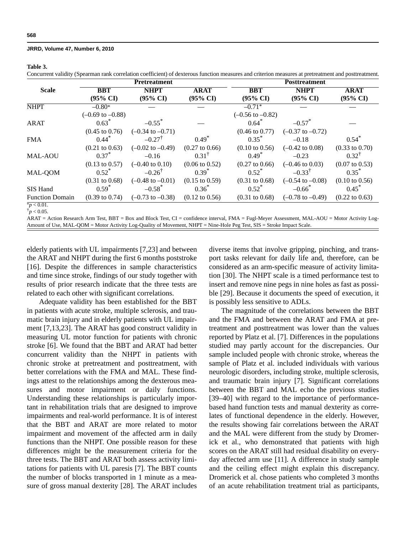#### **Table 3.**

Concurrent validity (Spearman rank correlation coefficient) of dexterous function measures and criterion measures at pretreatment and posttreatment.

|                        | <b>Pretreatment</b>         |                             | <b>Posttreatment</b>      |                                                                 |                             |                                                                                                                                                                                                                                                                                                   |
|------------------------|-----------------------------|-----------------------------|---------------------------|-----------------------------------------------------------------|-----------------------------|---------------------------------------------------------------------------------------------------------------------------------------------------------------------------------------------------------------------------------------------------------------------------------------------------|
| <b>Scale</b>           | <b>BBT</b>                  | <b>NHPT</b>                 | <b>ARAT</b>               | <b>BBT</b>                                                      | <b>NHPT</b>                 | <b>ARAT</b>                                                                                                                                                                                                                                                                                       |
|                        | $(95\% \text{ CI})$         | $(95\% \text{ CI})$         | $(95\% \text{ CI})$       | $(95\% \text{ CI})$                                             | $(95\% \text{ CI})$         | $(95\% \text{ CI})$                                                                                                                                                                                                                                                                               |
| <b>NHPT</b>            | $-0.80*$                    |                             |                           | $-0.71*$                                                        |                             |                                                                                                                                                                                                                                                                                                   |
|                        | $(-0.69 \text{ to } -0.88)$ |                             |                           | $(-0.56 \text{ to } -0.82)$                                     |                             |                                                                                                                                                                                                                                                                                                   |
| <b>ARAT</b>            | $0.63*$                     | $-0.55$ <sup>*</sup>        |                           | $0.64*$                                                         | $-0.57$ <sup>*</sup>        |                                                                                                                                                                                                                                                                                                   |
|                        | $(0.45 \text{ to } 0.76)$   | $(-0.34 \text{ to } -0.71)$ |                           | $(0.46 \text{ to } 0.77)$                                       | $(-0.37 \text{ to } -0.72)$ |                                                                                                                                                                                                                                                                                                   |
| <b>FMA</b>             | $0.44*$                     | $-0.27^{\dagger}$           | $0.49*$                   | $0.35^*$                                                        | $-0.18$                     | $0.54*$                                                                                                                                                                                                                                                                                           |
|                        | $(0.21 \text{ to } 0.63)$   | $(-0.02 \text{ to } -0.49)$ | $(0.27 \text{ to } 0.66)$ | $(0.10 \text{ to } 0.56)$                                       | $(-0.42 \text{ to } 0.08)$  | $(0.33 \text{ to } 0.70)$                                                                                                                                                                                                                                                                         |
| <b>MAL-AOU</b>         | $0.37*$                     | $-0.16$                     | $0.31^{\dagger}$          | $0.49*$                                                         | $-0.23$                     | $0.32^{\dagger}$                                                                                                                                                                                                                                                                                  |
|                        | $(0.13 \text{ to } 0.57)$   | $(-0.40 \text{ to } 0.10)$  | $(0.06 \text{ to } 0.52)$ | $(0.27 \text{ to } 0.66)$                                       | $(-0.46 \text{ to } 0.03)$  | $(0.07 \text{ to } 0.53)$                                                                                                                                                                                                                                                                         |
| MAL-QOM                | $0.52^*$                    | $-0.26^{\dagger}$           | $0.39^*$                  | $0.52^*$                                                        | $-0.33^{\dagger}$           | $0.35^*$                                                                                                                                                                                                                                                                                          |
|                        | $(0.31 \text{ to } 0.68)$   | $(-0.48 \text{ to } -0.01)$ | $(0.15 \text{ to } 0.59)$ | $(0.31 \text{ to } 0.68)$                                       | $(-0.54 \text{ to } -0.08)$ | $(0.10 \text{ to } 0.56)$                                                                                                                                                                                                                                                                         |
| SIS Hand               | $0.59*$                     | $-0.58$ <sup>*</sup>        | $0.36*$                   | $0.52^*$                                                        | $-0.66$ <sup>*</sup>        | $0.45^*$                                                                                                                                                                                                                                                                                          |
| <b>Function Domain</b> | $(0.39 \text{ to } 0.74)$   | $(-0.73 \text{ to } -0.38)$ | $(0.12 \text{ to } 0.56)$ | $(0.31 \text{ to } 0.68)$                                       | $(-0.78 \text{ to } -0.49)$ | $(0.22 \text{ to } 0.63)$                                                                                                                                                                                                                                                                         |
| $p < 0.01$ .           |                             |                             |                           |                                                                 |                             |                                                                                                                                                                                                                                                                                                   |
| $T_p < 0.05$ .         | $m \cdot nm$                | $1.731 \pm 77.77$           | $\mathbf{r}$ $\mathbf{r}$ | $\mathbf{r}$ and $\mathbf{r}$ and $\mathbf{r}$ and $\mathbf{r}$ |                             | $\mathbf{r}$ , and $\mathbf{r}$ are $\mathbf{r}$ and $\mathbf{r}$ are $\mathbf{r}$ and $\mathbf{r}$ are $\mathbf{r}$ and $\mathbf{r}$ are $\mathbf{r}$ and $\mathbf{r}$ are $\mathbf{r}$ and $\mathbf{r}$ are $\mathbf{r}$ and $\mathbf{r}$ are $\mathbf{r}$ and $\mathbf{r}$ are $\mathbf{r}$ an |

ARAT = Action Research Arm Test, BBT = Box and Block Test, CI = confidence interval, FMA = Fugl-Meyer Assessment, MAL-AOU = Motor Activity Log-Amount of Use, MAL-QOM = Motor Activity Log-Quality of Movement, NHPT = Nine-Hole Peg Test, SIS = Stroke Impact Scale.

elderly patients with UL impairments [7,23] and between the ARAT and NHPT during the first 6 months poststroke [16]. Despite the differences in sample characteristics and time since stroke, findings of our study together with results of prior research indicate that the three tests are related to each other with significant correlations.

Adequate validity has been established for the BBT in patients with acute stroke, multiple sclerosis, and traumatic brain injury and in elderly patients with UL impairment [7,13,23]. The ARAT has good construct validity in measuring UL motor function for patients with chronic stroke [6]. We found that the BBT and ARAT had better concurrent validity than the NHPT in patients with chronic stroke at pretreatment and posttreatment, with better correlations with the FMA and MAL. These findings attest to the relationships among the dexterous measures and motor impairment or daily functions. Understanding these relationships is particularly important in rehabilitation trials that are designed to improve impairments and real-world performance. It is of interest that the BBT and ARAT are more related to motor impairment and movement of the affected arm in daily functions than the NHPT. One possible reason for these differences might be the measurement criteria for the three tests. The BBT and ARAT both assess activity limitations for patients with UL paresis [7]. The BBT counts the number of blocks transported in 1 minute as a measure of gross manual dexterity [28]. The ARAT includes

diverse items that involve gripping, pinching, and transport tasks relevant for daily life and, therefore, can be considered as an arm-specific measure of activity limitation [30]. The NHPT scale is a timed performance test to insert and remove nine pegs in nine holes as fast as possible [29]. Because it documents the speed of execution, it is possibly less sensitive to ADLs.

The magnitude of the correlations between the BBT and the FMA and between the ARAT and FMA at pretreatment and posttreatment was lower than the values reported by Platz et al. [7]. Differences in the populations studied may partly account for the discrepancies. Our sample included people with chronic stroke, whereas the sample of Platz et al. included individuals with various neurologic disorders, including stroke, multiple sclerosis, and traumatic brain injury [7]. Significant correlations between the BBT and MAL echo the previous studies [39–40] with regard to the importance of performancebased hand function tests and manual dexterity as correlates of functional dependence in the elderly. However, the results showing fair correlations between the ARAT and the MAL were different from the study by Dromerick et al., who demonstrated that patients with high scores on the ARAT still had residual disability on everyday affected arm use [11]. A difference in study sample and the ceiling effect might explain this discrepancy. Dromerick et al. chose patients who completed 3 months of an acute rehabilitation treatment trial as participants,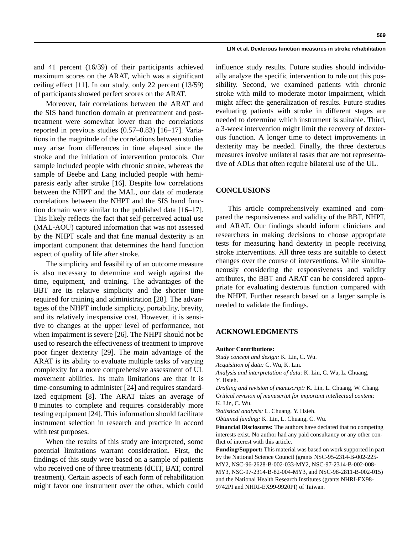**569**

#### **LIN et al. Dexterous function measures in stroke rehabilitation**

and 41 percent (16/39) of their participants achieved maximum scores on the ARAT, which was a significant ceiling effect [11]. In our study, only 22 percent (13/59) of participants showed perfect scores on the ARAT.

Moreover, fair correlations between the ARAT and the SIS hand function domain at pretreatment and posttreatment were somewhat lower than the correlations reported in previous studies (0.57–0.83) [16–17]. Variations in the magnitude of the correlations between studies may arise from differences in time elapsed since the stroke and the initiation of intervention protocols. Our sample included people with chronic stroke, whereas the sample of Beebe and Lang included people with hemiparesis early after stroke [16]. Despite low correlations between the NHPT and the MAL, our data of moderate correlations between the NHPT and the SIS hand function domain were similar to the published data [16–17]. This likely reflects the fact that self-perceived actual use (MAL-AOU) captured information that was not assessed by the NHPT scale and that fine manual dexterity is an important component that determines the hand function aspect of quality of life after stroke.

The simplicity and feasibility of an outcome measure is also necessary to determine and weigh against the time, equipment, and training. The advantages of the BBT are its relative simplicity and the shorter time required for training and administration [28]. The advantages of the NHPT include simplicity, portability, brevity, and its relatively inexpensive cost. However, it is sensitive to changes at the upper level of performance, not when impairment is severe [26]. The NHPT should not be used to research the effectiveness of treatment to improve poor finger dexterity [29]. The main advantage of the ARAT is its ability to evaluate multiple tasks of varying complexity for a more comprehensive assessment of UL movement abilities. Its main limitations are that it is time-consuming to administer [24] and requires standardized equipment [8]. The ARAT takes an average of 8 minutes to complete and requires considerably more testing equipment [24]. This information should facilitate instrument selection in research and practice in accord with test purposes.

When the results of this study are interpreted, some potential limitations warrant consideration. First, the findings of this study were based on a sample of patients who received one of three treatments (dCIT, BAT, control treatment). Certain aspects of each form of rehabilitation might favor one instrument over the other, which could influence study results. Future studies should individually analyze the specific intervention to rule out this possibility. Second, we examined patients with chronic stroke with mild to moderate motor impairment, which might affect the generalization of results. Future studies evaluating patients with stroke in different stages are needed to determine which instrument is suitable. Third, a 3-week intervention might limit the recovery of dexterous function. A longer time to detect improvements in dexterity may be needed. Finally, the three dexterous measures involve unilateral tasks that are not representative of ADLs that often require bilateral use of the UL.

## **CONCLUSIONS**

This article comprehensively examined and compared the responsiveness and validity of the BBT, NHPT, and ARAT. Our findings should inform clinicians and researchers in making decisions to choose appropriate tests for measuring hand dexterity in people receiving stroke interventions. All three tests are suitable to detect changes over the course of interventions. While simultaneously considering the responsiveness and validity attributes, the BBT and ARAT can be considered appropriate for evaluating dexterous function compared with the NHPT. Further research based on a larger sample is needed to validate the findings.

## **ACKNOWLEDGMENTS**

#### **Author Contributions:**

*Study concept and design:* K. Lin, C. Wu.

*Acquisition of data:* C. Wu, K. Lin.

*Analysis and interpretation of data:* K. Lin, C. Wu, L. Chuang, Y. Hsieh.

*Drafting and revision of manuscript:* K. Lin, L. Chuang, W. Chang. *Critical revision of manuscript for important intellectual content:* K. Lin, C. Wu.

*Statistical analysis:* L. Chuang, Y. Hsieh.

*Obtained funding:* K. Lin, L. Chuang, C. Wu.

**Financial Disclosures:** The authors have declared that no competing interests exist. No author had any paid consultancy or any other conflict of interest with this article.

**Funding/Support:** This material was based on work supported in part by the National Science Council (grants NSC-95-2314-B-002-225- MY2, NSC-96-2628-B-002-033-MY2, NSC-97-2314-B-002-008- MY3, NSC-97-2314-B-82-004-MY3, and NSC-98-2811-B-002-015) and the National Health Research Institutes (grants NHRI-EX98- 9742PI and NHRI-EX99-9920PI) of Taiwan.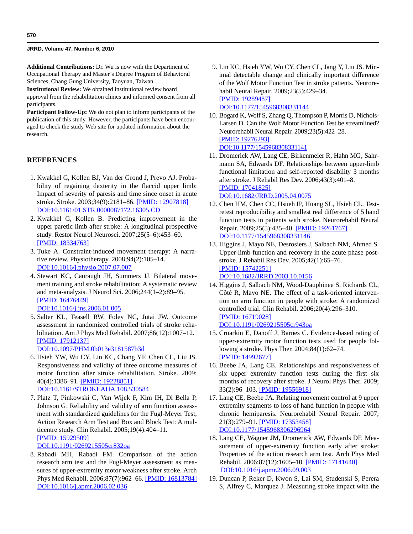**Additional Contributions:** Dr. Wu is now with the Department of Occupational Therapy and Master's Degree Program of Behavioral Sciences, Chang Gung University, Taoyuan, Taiwan.

**Institutional Review:** We obtained institutional review board approval from the rehabilitation clinics and informed consent from all participants.

**Participant Follow-Up:** We do not plan to inform participants of the publication of this study. However, the participants have been encouraged to check the study Web site for updated information about the research.

## **REFERENCES**

- 1. Kwakkel G, Kollen BJ, Van der Grond J, Prevo AJ. Probability of regaining dexterity in the flaccid upper limb: Impact of severity of paresis and time since onset in acute stroke. Stroke. 2003;34(9):2181–86. [\[PMID: 12907818\]](http://www.ncbi.nlm.nih.gov/pubmed/12907818) [D](http://www.ncbi.nlm.nih.gov/pubmed/12907818)[OI:10.1161/01.STR.0000087172.16305.CD](http://dx.doi.org/10.1161/01.STR.0000087172.16305.CD)
- 2. Kwakkel G, Kollen B. Predicting improvement in the upper paretic limb after stroke: A longitudinal prospective study. Restor Neurol Neurosci. 2007;25(5–6):453–60. [\[PMID: 18334763\]](http://www.ncbi.nlm.nih.gov/pubmed/18334763)
- 3. Tuke A. Constraint-induced movement therapy: A narrative review. Physiotherapy. 2008;94(2):105–14. [DOI:10.1016/j.physio.2007.07.007](http://dx.doi.org/10.1016/j.physio.2007.07.007)
- 4. Stewart KC, Cauraugh JH, Summers JJ. Bilateral movement training and stroke rehabilitation: A systematic review and meta-analysis. J Neurol Sci. 2006;244(1–2):89–95. [\[PMID: 16476449\]](http://www.ncbi.nlm.nih.gov/pubmed/16476449) [D](http://www.ncbi.nlm.nih.gov/pubmed/16476449)[OI:10.1016/j.jns.2006.01.005](http://dx.doi.org/10.1016/j.jns.2006.01.005)
- 5. Salter KL, Teasell RW, Foley NC, Jutai JW. Outcome assessment in randomized controlled trials of stroke rehabilitation. Am J Phys Med Rehabil. 2007;86(12):1007–12. [\[PMID: 17912137\]](http://www.ncbi.nlm.nih.gov/pubmed/17912137)

[D](http://www.ncbi.nlm.nih.gov/pubmed/17912137)[OI:10.1097/PHM.0b013e3181587b3d](http://dx.doi.org/10.1097/PHM.0b013e3181587b3d)

- 6. Hsieh YW, Wu CY, Lin KC, Chang YF, Chen CL, Liu JS. Responsiveness and validity of three outcome measures of motor function after stroke rehabilitation. Stroke. 2009; 40(4):1386–91. [\[PMID: 19228851\]](http://www.ncbi.nlm.nih.gov/pubmed/19228851) [D](http://www.ncbi.nlm.nih.gov/pubmed/19228851)[OI:10.1161/STROKEAHA.108.530584](http://dx.doi.org/10.1161/STROKEAHA.108.530584)
- 7. Platz T, Pinkowski C, Van Wijck F, Kim IH, Di Bella P, Johnson G. Reliability and validity of arm function assessment with standardized guidelines for the Fugl-Meyer Test, Action Research Arm Test and Box and Block Test: A multicentre study. Clin Rehabil. 2005;19(4):404–11. [\[PMID: 15929509\]](http://www.ncbi.nlm.nih.gov/pubmed/15929509)

[D](http://www.ncbi.nlm.nih.gov/pubmed/15929509)[OI:10.1191/0269215505cr832oa](http://dx.doi.org/10.1191/0269215505cr832oa)

 8. Rabadi MH, Rabadi FM. Comparison of the action research arm test and the Fugl-Meyer assessment as measures of upper-extremity motor weakness after stroke. Arch Phys Med Rehabil. 2006;87(7):962–66. [\[PMID: 16813784\]](http://www.ncbi.nlm.nih.gov/pubmed/16813784) [D](http://www.ncbi.nlm.nih.gov/pubmed/16813784)[OI:10.1016/j.apmr.2006.02.036](http://dx.doi.org/10.1016/j.apmr.2006.02.036)

 9. Lin KC, Hsieh YW, Wu CY, Chen CL, Jang Y, Liu JS. Minimal detectable change and clinically important difference of the Wolf Motor Function Test in stroke patients. Neurorehabil Neural Repair. 2009;23(5):429–34. [\[PMID: 19289487\]](http://www.ncbi.nlm.nih.gov/pubmed/19289487)

[D](http://www.ncbi.nlm.nih.gov/pubmed/19289487)[OI:10.1177/1545968308331144](http://dx.doi.org/10.1177/1545968308331144)

- 10. Bogard K, Wolf S, Zhang Q, Thompson P, Morris D, Nichols-Larsen D. Can the Wolf Motor Function Test be streamlined? Neurorehabil Neural Repair. 2009;23(5):422–28. [\[PMID: 19276293\]](http://www.ncbi.nlm.nih.gov/pubmed/19276293) [D](http://www.ncbi.nlm.nih.gov/pubmed/19276293)[OI:10.1177/1545968308331141](http://dx.doi.org/10.1177/1545968308331141)
- 11. Dromerick AW, Lang CE, Birkenmeier R, Hahn MG , Sahrmann SA, Edwards DF. Relationships between upper-limb functional limitation and self-reported disability 3 months after stroke. J Rehabil Res Dev. 2006;43(3):401–8. [\[PMID: 17041825\]](http://www.ncbi.nlm.nih.gov/pubmed/17041825) [D](http://www.ncbi.nlm.nih.gov/pubmed/17041825)[OI:10.1682/JRRD.2005.04.0075](http://dx.doi.org/10.1682/JRRD.2005.04.0075)
- 12. Chen HM, Chen CC, Hsueh IP, Huang SL, Hsieh CL. Testretest reproducibility and smallest real difference of 5 hand function tests in patients with stroke. Neurorehabil Neural Repair. 2009;25(5):435–40. [\[PMID: 19261767\]](http://www.ncbi.nlm.nih.gov/pubmed/19261767) [D](http://www.ncbi.nlm.nih.gov/pubmed/19261767)[OI:10.1177/1545968308331146](http://dx.doi.org/10.1177/1545968308331146)
- 13. Higgins J, Mayo NE, Desrosiers J, Salbach NM, Ahmed S. Upper-limb function and recovery in the acute phase poststroke. J Rehabil Res Dev. 2005;42(1):65–76. [\[PMID: 15742251\]](http://www.ncbi.nlm.nih.gov/pubmed/15742251) [D](http://www.ncbi.nlm.nih.gov/pubmed/15742251)[OI:10.1682/JRRD.2003.10.0156](http://dx.doi.org/10.1682/JRRD.2003.10.0156)
- 14. Higgins J, Salbach NM, Wood-Dauphinee S, Richards CL, Côté R, Mayo NE. The effect of a task-oriented intervention on arm function in people with stroke: A randomized controlled trial. Clin Rehabil. 2006;20(4):296–310. [\[PMID: 16719028\]](http://www.ncbi.nlm.nih.gov/pubmed/16719028) [D](http://www.ncbi.nlm.nih.gov/pubmed/16719028)[OI:10.1191/0269215505cr943oa](http://dx.doi.org/10.1191/0269215505cr943oa)
- 15. Croarkin E, Danoff J, Barnes C. Evidence-based rating of upper-extremity motor function tests used for people following a stroke. Phys Ther. 2004;84(1):62–74. [\[PMID: 14992677\]](http://www.ncbi.nlm.nih.gov/pubmed/14992677)
- 16. Beebe JA, Lang CE. Relationships and responsiveness of six upper extremity function tests during the first six months of recovery after stroke. J Neurol Phys Ther. 2009; 33(2):96–103. [\[PMID: 19556918\]](http://www.ncbi.nlm.nih.gov/pubmed/19556918)
- 17. Lang CE, Beebe JA. Relating movement control at 9 upper extremity segments to loss of hand function in people with chronic hemiparesis. Neurorehabil Neural Repair. 2007; 21(3):279–91. [\[PMID: 17353458\]](http://www.ncbi.nlm.nih.gov/pubmed/19556918) [D](http://www.ncbi.nlm.nih.gov/pubmed/19556918)[OI:10.1177/1545968306296964](http://dx.doi.org/10.1177/1545968306296964)
- 18. Lang CE, Wagner JM, Dromerick AW, Edwards DF. Measurement of upper-extremity function early after stroke: Properties of the action research arm test. Arch Phys Med Rehabil. 2006;87(12):1605–10. [\[PMID: 17141640\]](http://www.ncbi.nlm.nih.gov/pubmed/17141640) [DOI:10.1016/j.apmr.2006.09.003](http://dx.doi.org/10.1016/j.apmr.2006.09.003)
- 19. Duncan P, Reker D, Kwon S, Lai SM, Studenski S, Perera S, Alfrey C, Marquez J. Measuring stroke impact with the